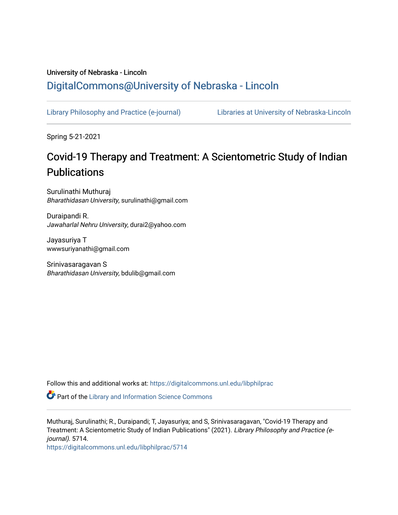## University of Nebraska - Lincoln [DigitalCommons@University of Nebraska - Lincoln](https://digitalcommons.unl.edu/)

[Library Philosophy and Practice \(e-journal\)](https://digitalcommons.unl.edu/libphilprac) [Libraries at University of Nebraska-Lincoln](https://digitalcommons.unl.edu/libraries) 

Spring 5-21-2021

# Covid-19 Therapy and Treatment: A Scientometric Study of Indian **Publications**

Surulinathi Muthuraj Bharathidasan University, surulinathi@gmail.com

Duraipandi R. Jawaharlal Nehru University, durai2@yahoo.com

Jayasuriya T wwwsuriyanathi@gmail.com

Srinivasaragavan S Bharathidasan University, bdulib@gmail.com

Follow this and additional works at: [https://digitalcommons.unl.edu/libphilprac](https://digitalcommons.unl.edu/libphilprac?utm_source=digitalcommons.unl.edu%2Flibphilprac%2F5714&utm_medium=PDF&utm_campaign=PDFCoverPages) 

Part of the [Library and Information Science Commons](http://network.bepress.com/hgg/discipline/1018?utm_source=digitalcommons.unl.edu%2Flibphilprac%2F5714&utm_medium=PDF&utm_campaign=PDFCoverPages) 

Muthuraj, Surulinathi; R., Duraipandi; T, Jayasuriya; and S, Srinivasaragavan, "Covid-19 Therapy and Treatment: A Scientometric Study of Indian Publications" (2021). Library Philosophy and Practice (ejournal). 5714.

[https://digitalcommons.unl.edu/libphilprac/5714](https://digitalcommons.unl.edu/libphilprac/5714?utm_source=digitalcommons.unl.edu%2Flibphilprac%2F5714&utm_medium=PDF&utm_campaign=PDFCoverPages)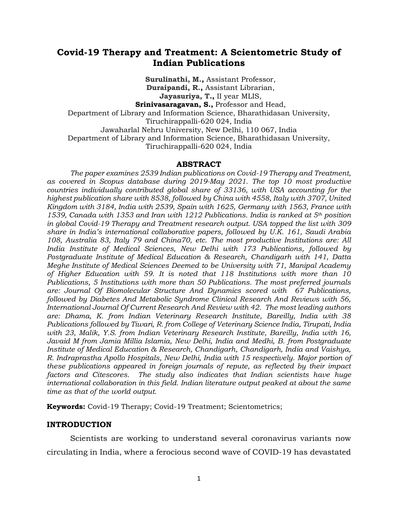### **Covid-19 Therapy and Treatment: A Scientometric Study of Indian Publications**

**[Surulinathi, M.,](https://www.scopus.com/authid/detail.uri?authorId=6504295126&eid=2-s2.0-85104799122)** Assistant Professor, **[Duraipandi, R.,](https://www.scopus.com/authid/detail.uri?authorId=57223083533&eid=2-s2.0-85104799122)** Assistant Librarian, **[Jayasuriya, T.](https://www.scopus.com/authid/detail.uri?authorId=57221108707&eid=2-s2.0-85104799122),** II year MLIS,

**Srinivasaragavan, S.,** Professor and Head,

Department of Library and Information Science, Bharathidasan University, Tiruchirappalli-620 024, India Jawaharlal Nehru University, New Delhi, 110 067, India

Department of Library and Information Science, Bharathidasan University,

Tiruchirappalli-620 024, India

#### **ABSTRACT**

*The paper examines 2539 Indian publications on Covid-19 Therapy and Treatment, as covered in Scopus database during 2019-May 2021. The top 10 most productive countries individually contributed global share of 33136, with USA accounting for the highest publication share with 8538, followed by China with 4558, Italy with 3707, United Kingdom with 3184, India with 2539, Spain with 1625, Germany with 1563, France with 1539, Canada with 1353 and Iran with 1212 Publications. India is ranked at 5th position in global Covid-19 Therapy and Treatment research output. USA topped the list with 309 share in India's international collaborative papers, followed by U.K. 161, Saudi Arabia 108, Australia 83, Italy 79 and China70, etc. The most productive Institutions are: All India Institute of Medical Sciences, New Delhi with 173 Publications, followed by Postgraduate Institute of Medical Education & Research, Chandigarh with 141, Datta Meghe Institute of Medical Sciences Deemed to be University with 71, Manipal Academy of Higher Education with 59. It is noted that 118 Institutions with more than 10 Publications, 5 Institutions with more than 50 Publications. The most preferred journals are: Journal Of Biomolecular Structure And Dynamics scored with 67 Publications, followed by Diabetes And Metabolic Syndrome Clinical Research And Reviews with 56, International Journal Of Current Research And Review with 42. The most leading authors are: Dhama, K. from Indian [Veterinary Research Institute,](https://www.scopus.com/affil/profile.uri?afid=60005564) Bareilly, India with 38 Publications followed by Tiwari, R. from [College of Veterinary Science India,](https://www.scopus.com/affil/profile.uri?afid=60016887) Tirupati, India with 23, Malik, Y.S. from [Indian Veterinary Research Institute,](https://www.scopus.com/affil/profile.uri?afid=60005564) Bareilly, India with 16, Javaid M from [Jamia Millia Islamia,](https://www.scopus.com/affil/profile.uri?afid=60020458) New Delhi, India and Medhi, B. from [Postgraduate](https://www.scopus.com/affil/profile.uri?afid=60000137)  [Institute of Medical Education & Research, Chandigarh,](https://www.scopus.com/affil/profile.uri?afid=60000137) Chandigarh, India and Vaishya, R. [Indraprastha Apollo Hospitals,](https://www.scopus.com/affil/profile.uri?afid=60019286) New Delhi, India with 15 respectively. Major portion of these publications appeared in foreign journals of repute, as reflected by their impact factors and Citescores. The study also indicates that Indian scientists have huge international collaboration in this field. Indian literature output peaked at about the same time as that of the world output.* 

**Keywords:** Covid-19 Therapy; Covid-19 Treatment; Scientometrics;

#### **INTRODUCTION**

Scientists are working to understand several coronavirus variants now circulating in India, where a ferocious second wave of COVID-19 has devastated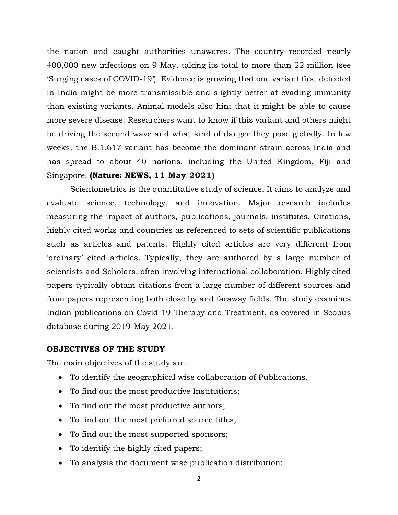the nation and caught authorities unawares. The country recorded nearly 400,000 new infections on 9 May, taking its total to more than 22 million (see 'Surging cases of COVID-19'). Evidence is growing that one variant first detected in India might be more transmissible and slightly better at evading immunity than existing variants. Animal models also hint that it might be able to cause more severe disease. Researchers want to know if this variant and others might be driving the second wave and what kind of danger they pose globally. In few weeks, the B.1.617 variant has become the dominant strain across India and has spread to about 40 nations, including the United Kingdom, Fiji and Singapore. **(Nature: NEWS, 11 May 2021)**

Scientometrics is the quantitative study of science. It aims to analyze and evaluate science, technology, and innovation. Major research includes measuring the impact of authors, publications, journals, institutes, Citations, highly cited works and countries as referenced to sets of scientific publications such as articles and patents. Highly cited articles are very different from 'ordinary' cited articles. Typically, they are authored by a large number of scientists and Scholars, often involving international collaboration. Highly cited papers typically obtain citations from a large number of different sources and from papers representing both close by and faraway fields. The study examines Indian publications on Covid-19 Therapy and Treatment, as covered in Scopus database during 2019-May 2021.

### **OBJECTIVES OF THE STUDY**

The main objectives of the study are:

- To identify the geographical wise collaboration of Publications.
- To find out the most productive Institutions;
- To find out the most productive authors;
- To find out the most preferred source titles;
- To find out the most supported sponsors;
- To identify the highly cited papers;
- To analysis the document wise publication distribution;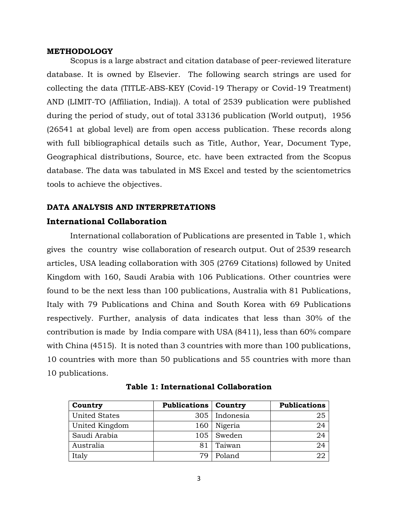#### **METHODOLOGY**

Scopus is a large abstract and citation database of peer-reviewed literature database. It is owned by Elsevier. The following search strings are used for collecting the data (TITLE-ABS-KEY (Covid-19 Therapy or Covid-19 Treatment) AND (LIMIT-TO (Affiliation, India)). A total of 2539 publication were published during the period of study, out of total 33136 publication (World output), 1956 (26541 at global level) are from open access publication. These records along with full bibliographical details such as Title, Author, Year, Document Type, Geographical distributions, Source, etc. have been extracted from the Scopus database. The data was tabulated in MS Excel and tested by the scientometrics tools to achieve the objectives.

### **DATA ANALYSIS AND INTERPRETATIONS**

### **International Collaboration**

International collaboration of Publications are presented in Table 1, which gives the country wise collaboration of research output. Out of 2539 research articles, USA leading collaboration with 305 (2769 Citations) followed by United Kingdom with 160, Saudi Arabia with 106 Publications. Other countries were found to be the next less than 100 publications, Australia with 81 Publications, Italy with 79 Publications and China and South Korea with 69 Publications respectively. Further, analysis of data indicates that less than 30% of the contribution is made by India compare with USA (8411), less than 60% compare with China (4515). It is noted than 3 countries with more than 100 publications, 10 countries with more than 50 publications and 55 countries with more than 10 publications.

| Country              | <b>Publications</b> | Country   | <b>Publications</b> |
|----------------------|---------------------|-----------|---------------------|
| <b>United States</b> | 305                 | Indonesia | 25                  |
| United Kingdom       | 160                 | Nigeria   | 24                  |
| Saudi Arabia         | 105                 | Sweden    | 24                  |
| Australia            | 81                  | Taiwan    | 24                  |
| Italy                | 70                  | Poland    |                     |

**Table 1: International Collaboration**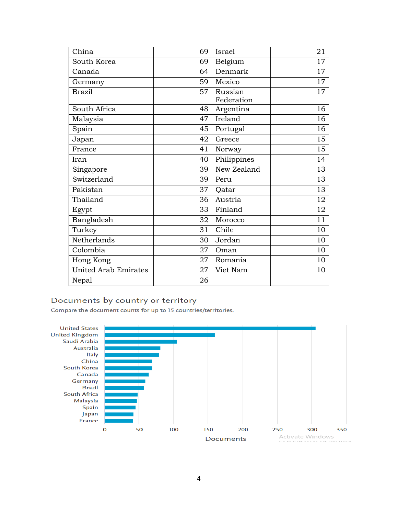| China                       | 69 | Israel      | 21 |
|-----------------------------|----|-------------|----|
| South Korea                 | 69 | Belgium     | 17 |
| Canada                      | 64 | Denmark     | 17 |
| Germany                     | 59 | Mexico      | 17 |
| <b>Brazil</b>               | 57 | Russian     | 17 |
|                             |    | Federation  |    |
| South Africa                | 48 | Argentina   | 16 |
| Malaysia                    | 47 | Ireland     | 16 |
| Spain                       | 45 | Portugal    | 16 |
| Japan                       | 42 | Greece      | 15 |
| France                      | 41 | Norway      | 15 |
| Iran                        | 40 | Philippines | 14 |
| Singapore                   | 39 | New Zealand | 13 |
| Switzerland                 | 39 | Peru        | 13 |
| Pakistan                    | 37 | Oatar       | 13 |
| Thailand                    | 36 | Austria     | 12 |
| Egypt                       | 33 | Finland     | 12 |
| Bangladesh                  | 32 | Morocco     | 11 |
| Turkey                      | 31 | Chile       | 10 |
| Netherlands                 | 30 | Jordan      | 10 |
| Colombia                    | 27 | Oman        | 10 |
| Hong Kong                   | 27 | Romania     | 10 |
| <b>United Arab Emirates</b> | 27 | Viet Nam    | 10 |
| Nepal                       | 26 |             |    |

### Documents by country or territory

Compare the document counts for up to 15 countries/territories.

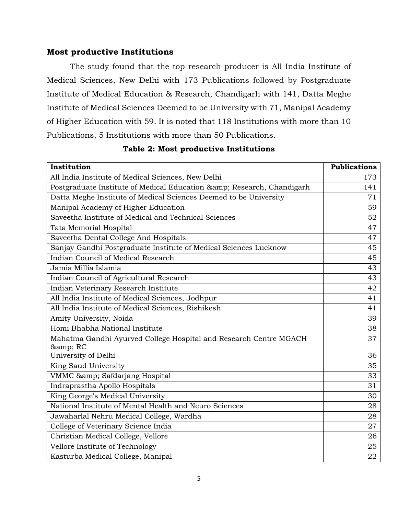### **Most productive Institutions**

The study found that the top research producer is All India Institute of Medical Sciences, New Delhi with 173 Publications followed by Postgraduate Institute of Medical Education & Research, Chandigarh with 141, Datta Meghe Institute of Medical Sciences Deemed to be University with 71, Manipal Academy of Higher Education with 59. It is noted that 118 Institutions with more than 10 Publications, 5 Institutions with more than 50 Publications.

| Institution                                                               | <b>Publications</b> |
|---------------------------------------------------------------------------|---------------------|
| All India Institute of Medical Sciences, New Delhi                        | 173                 |
| Postgraduate Institute of Medical Education & Research, Chandigarh        | 141                 |
| Datta Meghe Institute of Medical Sciences Deemed to be University         | 71                  |
| Manipal Academy of Higher Education                                       | 59                  |
| Saveetha Institute of Medical and Technical Sciences                      | 52                  |
| Tata Memorial Hospital                                                    | 47                  |
| Saveetha Dental College And Hospitals                                     | 47                  |
| Sanjay Gandhi Postgraduate Institute of Medical Sciences Lucknow          | 45                  |
| Indian Council of Medical Research                                        | 45                  |
| Jamia Millia Islamia                                                      | 43                  |
| Indian Council of Agricultural Research                                   | 43                  |
| Indian Veterinary Research Institute                                      | 42                  |
| All India Institute of Medical Sciences, Jodhpur                          | 41                  |
| All India Institute of Medical Sciences, Rishikesh                        | 41                  |
| Amity University, Noida                                                   | 39                  |
| Homi Bhabha National Institute                                            | 38                  |
| Mahatma Gandhi Ayurved College Hospital and Research Centre MGACH<br>& RC | 37                  |
| University of Delhi                                                       | 36                  |
| King Saud University                                                      | 35                  |
| VMMC & Safdarjang Hospital                                                | 33                  |
| Indraprastha Apollo Hospitals                                             | 31                  |
| King George's Medical University                                          | 30                  |
| National Institute of Mental Health and Neuro Sciences                    | 28                  |
| Jawaharlal Nehru Medical College, Wardha                                  | 28                  |
| College of Veterinary Science India                                       | 27                  |
| Christian Medical College, Vellore                                        | 26                  |
| Vellore Institute of Technology                                           | 25                  |
| Kasturba Medical College, Manipal                                         | 22                  |

**Table 2: Most productive Institutions**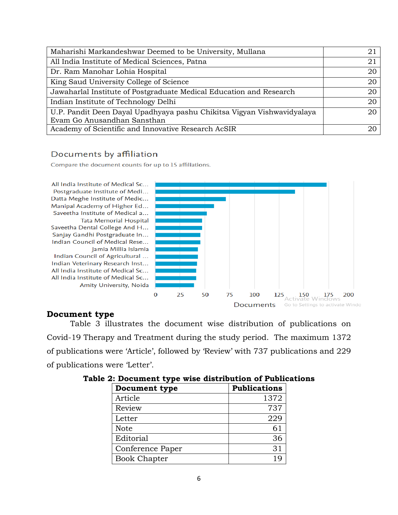| Maharishi Markandeshwar Deemed to be University, Mullana                                              |             |
|-------------------------------------------------------------------------------------------------------|-------------|
| All India Institute of Medical Sciences, Patna                                                        | $2^{\cdot}$ |
| Dr. Ram Manohar Lohia Hospital                                                                        | 20          |
| King Saud University College of Science                                                               | 20          |
| Jawaharlal Institute of Postgraduate Medical Education and Research                                   | 20          |
| Indian Institute of Technology Delhi                                                                  | 20          |
| U.P. Pandit Deen Dayal Upadhyaya pashu Chikitsa Vigyan Vishwavidyalaya<br>Evam Go Anusandhan Sansthan | 20          |
| Academy of Scientific and Innovative Research AcSIR                                                   |             |

### Documents by affiliation

Compare the document counts for up to 15 affiliations.

All India Institute of Medical Sc... Postgraduate Institute of Medi... Datta Meghe Institute of Medic... Manipal Academy of Higher Ed... Saveetha Institute of Medical a... **Tata Memorial Hospital** Saveetha Dental College And H... Sanjay Gandhi Postgraduate In... Indian Council of Medical Rese... Jamia Millia Islamia Indian Council of Agricultural ... Indian Veterinary Research Inst... All India Institute of Medical Sc... All India Institute of Medical Sc...

Amity University, Noida



### **Document type**

Table 3 illustrates the document wise distribution of publications on Covid-19 Therapy and Treatment during the study period. The maximum 1372 of publications were 'Article', followed by 'Review' with 737 publications and 229 of publications were 'Letter'.

| <b>Document type</b> | <b>Publications</b> |
|----------------------|---------------------|
| Article              | 1372                |
| Review               | 737                 |
| Letter               | 229                 |
| <b>Note</b>          | 61                  |
| Editorial            | 36                  |
| Conference Paper     | 31                  |
| <b>Book Chapter</b>  |                     |

### **Table 2: Document type wise distribution of Publications**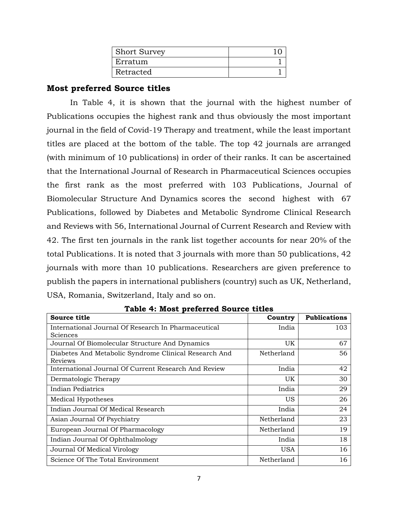| <b>Short Survey</b> |  |
|---------------------|--|
| Erratum             |  |
| Retracted           |  |

### **Most preferred Source titles**

In Table 4, it is shown that the journal with the highest number of Publications occupies the highest rank and thus obviously the most important journal in the field of Covid-19 Therapy and treatment, while the least important titles are placed at the bottom of the table. The top 42 journals are arranged (with minimum of 10 publications) in order of their ranks. It can be ascertained that the International Journal of Research in Pharmaceutical Sciences occupies the first rank as the most preferred with 103 Publications, Journal of Biomolecular Structure And Dynamics scores the second highest with 67 Publications, followed by Diabetes and Metabolic Syndrome Clinical Research and Reviews with 56, International Journal of Current Research and Review with 42. The first ten journals in the rank list together accounts for near 20% of the total Publications. It is noted that 3 journals with more than 50 publications, 42 journals with more than 10 publications. Researchers are given preference to publish the papers in international publishers (country) such as UK, Netherland, USA, Romania, Switzerland, Italy and so on.

| Source title                                                     | Country    | <b>Publications</b> |
|------------------------------------------------------------------|------------|---------------------|
| International Journal Of Research In Pharmaceutical<br>Sciences  | India      | 103                 |
| Journal Of Biomolecular Structure And Dynamics                   | UK         | 67                  |
| Diabetes And Metabolic Syndrome Clinical Research And<br>Reviews | Netherland | 56                  |
| International Journal Of Current Research And Review             | India      | 42                  |
| Dermatologic Therapy                                             | UK         | 30                  |
| Indian Pediatrics                                                | India      | 29                  |
| Medical Hypotheses                                               | <b>US</b>  | 26                  |
| Indian Journal Of Medical Research                               | India      | 24                  |
| Asian Journal Of Psychiatry                                      | Netherland | 23                  |
| European Journal Of Pharmacology                                 | Netherland | 19                  |
| Indian Journal Of Ophthalmology                                  | India      | 18                  |
| Journal Of Medical Virology                                      | <b>USA</b> | 16                  |
| Science Of The Total Environment                                 | Netherland | 16                  |

**Table 4: Most preferred Source titles**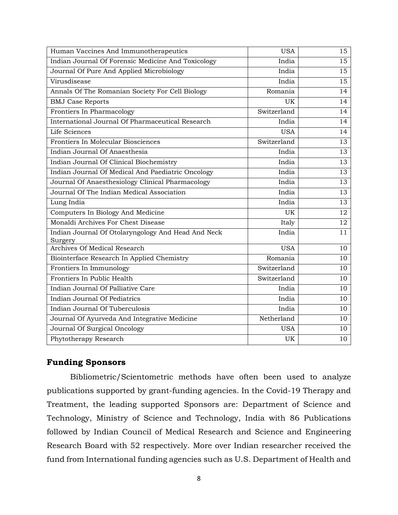| Human Vaccines And Immunotherapeutics                         | <b>USA</b>  | 15              |
|---------------------------------------------------------------|-------------|-----------------|
| Indian Journal Of Forensic Medicine And Toxicology            | India       | 15              |
| Journal Of Pure And Applied Microbiology                      | India       | 15              |
| Virusdisease                                                  | India       | $\overline{15}$ |
| Annals Of The Romanian Society For Cell Biology               | Romania     | 14              |
| <b>BMJ Case Reports</b>                                       | UK          | 14              |
| Frontiers In Pharmacology                                     | Switzerland | 14              |
| International Journal Of Pharmaceutical Research              | India       | 14              |
| Life Sciences                                                 | <b>USA</b>  | 14              |
| Frontiers In Molecular Biosciences                            | Switzerland | 13              |
| Indian Journal Of Anaesthesia                                 | India       | 13              |
| Indian Journal Of Clinical Biochemistry                       | India       | 13              |
| Indian Journal Of Medical And Paediatric Oncology             | India       | 13              |
| Journal Of Anaesthesiology Clinical Pharmacology              | India       | 13              |
| Journal Of The Indian Medical Association                     | India       | 13              |
| Lung India                                                    | India       | 13              |
| Computers In Biology And Medicine                             | UK          | 12              |
| Monaldi Archives For Chest Disease                            | Italy       | 12              |
| Indian Journal Of Otolaryngology And Head And Neck<br>Surgery | India       | 11              |
| <b>Archives Of Medical Research</b>                           | <b>USA</b>  | 10              |
| Biointerface Research In Applied Chemistry                    | Romania     | 10              |
| Frontiers In Immunology                                       | Switzerland | 10              |
| Frontiers In Public Health                                    | Switzerland | 10              |
| Indian Journal Of Palliative Care                             | India       | 10              |
| Indian Journal Of Pediatrics                                  | India       | 10              |
| Indian Journal Of Tuberculosis                                | India       | 10              |
| Journal Of Ayurveda And Integrative Medicine                  | Netherland  | 10              |
| Journal Of Surgical Oncology                                  | <b>USA</b>  | 10              |
| Phytotherapy Research                                         | UK          | 10              |

### **Funding Sponsors**

Bibliometric/Scientometric methods have often been used to analyze publications supported by grant-funding agencies. In the Covid-19 Therapy and Treatment, the leading supported Sponsors are: Department of Science and Technology, Ministry of Science and Technology, India with 86 Publications followed by Indian Council of Medical Research and Science and Engineering Research Board with 52 respectively. More over Indian researcher received the fund from International funding agencies such as U.S. Department of Health and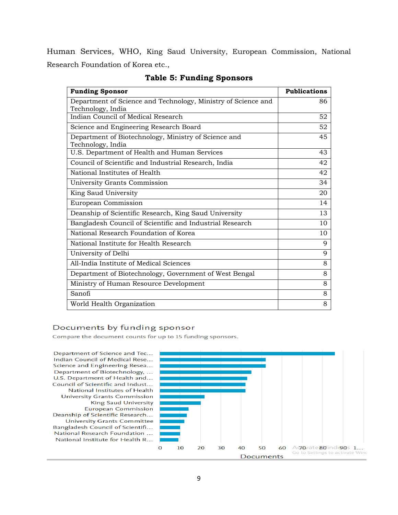Human Services, WHO, King Saud University, European Commission, National Research Foundation of Korea etc.,

| <b>Funding Sponsor</b>                                                             | <b>Publications</b> |
|------------------------------------------------------------------------------------|---------------------|
| Department of Science and Technology, Ministry of Science and<br>Technology, India | 86                  |
| Indian Council of Medical Research                                                 | 52                  |
| Science and Engineering Research Board                                             | 52                  |
| Department of Biotechnology, Ministry of Science and<br>Technology, India          | 45                  |
| U.S. Department of Health and Human Services                                       | 43                  |
| Council of Scientific and Industrial Research, India                               | 42                  |
| National Institutes of Health                                                      | 42                  |
| University Grants Commission                                                       | 34                  |
| King Saud University                                                               | 20                  |
| European Commission                                                                | 14                  |
| Deanship of Scientific Research, King Saud University                              | 13                  |
| Bangladesh Council of Scientific and Industrial Research                           | 10                  |
| National Research Foundation of Korea                                              | 10                  |
| National Institute for Health Research                                             | 9                   |
| University of Delhi                                                                | 9                   |
| All-India Institute of Medical Sciences                                            | 8                   |
| Department of Biotechnology, Government of West Bengal                             | 8                   |
| Ministry of Human Resource Development                                             | 8                   |
| Sanofi                                                                             | 8                   |
| World Health Organization                                                          | 8                   |

### **Table 5: Funding Sponsors**

#### Documents by funding sponsor

Compare the document counts for up to 15 funding sponsors.

Department of Science and Tec... Indian Council of Medical Rese... Science and Engineering Resea... Department of Biotechnology, ... U.S. Department of Health and... Council of Scientific and Indust... National Institutes of Health **University Grants Commission King Saud University European Commission** Deanship of Scientific Research... **University Grants Committee** Bangladesh Council of Scientifi... National Research Foundation ... National Institute for Health R...

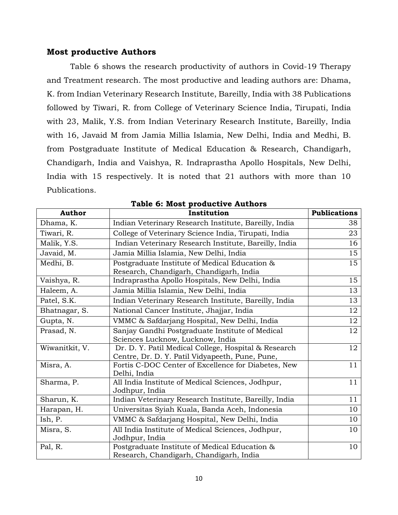### **Most productive Authors**

Table 6 shows the research productivity of authors in Covid-19 Therapy and Treatment research. The most productive and leading authors are: Dhama, K. from [Indian Veterinary Research Institute,](https://www.scopus.com/affil/profile.uri?afid=60005564) Bareilly, India with 38 Publications followed by Tiwari, R. from [College of Veterinary Science India,](https://www.scopus.com/affil/profile.uri?afid=60016887) Tirupati, India with 23, Malik, Y.S. from [Indian Veterinary Research Institute,](https://www.scopus.com/affil/profile.uri?afid=60005564) Bareilly, India with 16, Javaid M from [Jamia Millia Islamia,](https://www.scopus.com/affil/profile.uri?afid=60020458) New Delhi, India and Medhi, B. from [Postgraduate Institute of Medical Education & Research, Chandigarh,](https://www.scopus.com/affil/profile.uri?afid=60000137) Chandigarh, India and Vaishya, R. [Indraprastha Apollo Hospitals,](https://www.scopus.com/affil/profile.uri?afid=60019286) New Delhi, India with 15 respectively. It is noted that 21 authors with more than 10 Publications.

| <b>Author</b>  | Institution                                                                                             | <b>Publications</b> |
|----------------|---------------------------------------------------------------------------------------------------------|---------------------|
| Dhama, K.      | Indian Veterinary Research Institute, Bareilly, India                                                   | 38                  |
| Tiwari, R.     | College of Veterinary Science India, Tirupati, India                                                    | 23                  |
| Malik, Y.S.    | Indian Veterinary Research Institute, Bareilly, India                                                   | 16                  |
| Javaid, M.     | Jamia Millia Islamia, New Delhi, India                                                                  | 15                  |
| Medhi, B.      | Postgraduate Institute of Medical Education &<br>Research, Chandigarh, Chandigarh, India                | 15                  |
| Vaishya, R.    | Indraprastha Apollo Hospitals, New Delhi, India                                                         | 15                  |
| Haleem, A.     | Jamia Millia Islamia, New Delhi, India                                                                  | 13                  |
| Patel, S.K.    | Indian Veterinary Research Institute, Bareilly, India                                                   | 13                  |
| Bhatnagar, S.  | National Cancer Institute, Jhajjar, India                                                               | 12                  |
| Gupta, N.      | VMMC & Safdarjang Hospital, New Delhi, India                                                            | 12                  |
| Prasad, N.     | Sanjay Gandhi Postgraduate Institute of Medical<br>Sciences Lucknow, Lucknow, India                     | 12                  |
| Wiwanitkit, V. | Dr. D. Y. Patil Medical College, Hospital & Research<br>Centre, Dr. D. Y. Patil Vidyapeeth, Pune, Pune, | 12                  |
| Misra, A.      | Fortis C-DOC Center of Excellence for Diabetes, New<br>Delhi, India                                     | 11                  |
| Sharma, P.     | All India Institute of Medical Sciences, Jodhpur,<br>Jodhpur, India                                     | 11                  |
| Sharun, K.     | Indian Veterinary Research Institute, Bareilly, India                                                   | 11                  |
| Harapan, H.    | Universitas Syiah Kuala, Banda Aceh, Indonesia                                                          | 10                  |
| Ish, P.        | VMMC & Safdarjang Hospital, New Delhi, India                                                            | 10                  |
| Misra, S.      | All India Institute of Medical Sciences, Jodhpur,<br>Jodhpur, India                                     | 10                  |
| Pal, R.        | Postgraduate Institute of Medical Education &<br>Research, Chandigarh, Chandigarh, India                | 10                  |

|  |  |  |  | <b>Table 6: Most productive Authors</b> |  |
|--|--|--|--|-----------------------------------------|--|
|--|--|--|--|-----------------------------------------|--|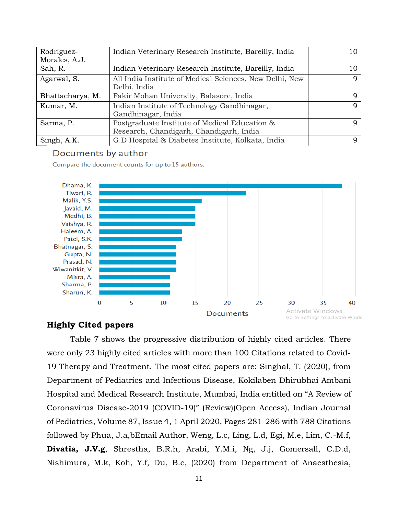| Rodriguez-       | Indian Veterinary Research Institute, Bareilly, India   | 10 |
|------------------|---------------------------------------------------------|----|
| Morales, A.J.    |                                                         |    |
| Sah, R.          | Indian Veterinary Research Institute, Bareilly, India   | 10 |
| Agarwal, S.      | All India Institute of Medical Sciences, New Delhi, New | q  |
|                  | Delhi, India                                            |    |
| Bhattacharya, M. | Fakir Mohan University, Balasore, India                 | q  |
| Kumar, M.        | Indian Institute of Technology Gandhinagar,             | Q  |
|                  | Gandhinagar, India                                      |    |
| Sarma, P.        | Postgraduate Institute of Medical Education &           |    |
|                  | Research, Chandigarh, Chandigarh, India                 |    |
| Singh, A.K.      | G.D Hospital & Diabetes Institute, Kolkata, India       | q  |

### Documents by author

Compare the document counts for up to 15 authors.



### **Highly Cited papers**

Table 7 shows the progressive distribution of highly cited articles. There were only 23 highly cited articles with more than 100 Citations related to Covid-19 Therapy and Treatment. The most cited papers are: Singhal, T. (2020), from Department of Pediatrics and Infectious Disease, Kokilaben Dhirubhai Ambani Hospital and Medical Research Institute, Mumbai, India entitled on "A Review of Coronavirus Disease-2019 (COVID-19)" (Review)(Open Access), Indian Journal of Pediatrics, Volume 87, Issue 4, 1 April 2020, Pages 281-286 with 788 Citations followed by Phua, J.a,bEmail Author, Weng, L.c, Ling, L.d, Egi, M.e, Lim, C.-M.f, **Divatia, J.V.g**, Shrestha, B.R.h, Arabi, Y.M.i, Ng, J.j, Gomersall, C.D.d, Nishimura, M.k, Koh, Y.f, Du, B.c, (2020) from Department of Anaesthesia,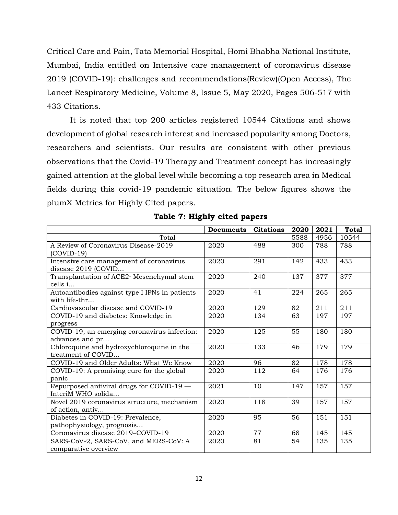Critical Care and Pain, Tata Memorial Hospital, Homi Bhabha National Institute, Mumbai, India entitled on Intensive care management of coronavirus disease 2019 (COVID-19): challenges and recommendations(Review)(Open Access), The Lancet Respiratory Medicine, Volume 8, Issue 5, May 2020, Pages 506-517 with 433 Citations.

It is noted that top 200 articles registered 10544 Citations and shows development of global research interest and increased popularity among Doctors, researchers and scientists. Our results are consistent with other previous observations that the Covid-19 Therapy and Treatment concept has increasingly gained attention at the global level while becoming a top research area in Medical fields during this covid-19 pandemic situation. The below figures shows the plumX Metrics for Highly Cited papers.

|                                                       | Documents | <b>Citations</b> | 2020 | 2021 | <b>Total</b> |
|-------------------------------------------------------|-----------|------------------|------|------|--------------|
| Total                                                 |           |                  | 5588 | 4956 | 10544        |
| A Review of Coronavirus Disease-2019                  | 2020      | 488              | 300  | 788  | 788          |
| $(COVID-19)$                                          |           |                  |      |      |              |
| Intensive care management of coronavirus              | 2020      | 291              | 142  | 433  | 433          |
| disease 2019 (COVID                                   |           |                  |      |      |              |
| Transplantation of ACE2 <sup>-</sup> Mesenchymal stem | 2020      | 240              | 137  | 377  | 377          |
| cells i                                               |           |                  |      |      |              |
| Autoantibodies against type I IFNs in patients        | 2020      | 41               | 224  | 265  | 265          |
| with life-thr                                         |           |                  |      |      |              |
| Cardiovascular disease and COVID-19                   | 2020      | 129              | 82   | 211  | 211          |
| COVID-19 and diabetes: Knowledge in                   | 2020      | 134              | 63   | 197  | 197          |
| progress                                              |           |                  |      |      |              |
| COVID-19, an emerging coronavirus infection:          | 2020      | 125              | 55   | 180  | 180          |
| advances and pr                                       |           |                  |      |      |              |
| Chloroquine and hydroxychloroquine in the             | 2020      | 133              | 46   | 179  | 179          |
| treatment of COVID                                    |           |                  |      |      |              |
| COVID-19 and Older Adults: What We Know               | 2020      | 96               | 82   | 178  | 178          |
| COVID-19: A promising cure for the global             | 2020      | 112              | 64   | 176  | 176          |
| panic                                                 |           |                  |      |      |              |
| Repurposed antiviral drugs for COVID-19 -             | 2021      | 10               | 147  | 157  | 157          |
| InteriM WHO solida                                    |           |                  |      |      |              |
| Novel 2019 coronavirus structure, mechanism           | 2020      | 118              | 39   | 157  | 157          |
| of action, antiv                                      |           |                  |      |      |              |
| Diabetes in COVID-19: Prevalence,                     | 2020      | 95               | 56   | 151  | 151          |
| pathophysiology, prognosis                            |           |                  |      |      |              |
| Coronavirus disease 2019-COVID-19                     | 2020      | 77               | 68   | 145  | 145          |
| SARS-CoV-2, SARS-CoV, and MERS-CoV: A                 | 2020      | 81               | 54   | 135  | 135          |
| comparative overview                                  |           |                  |      |      |              |

**Table 7: Highly cited papers**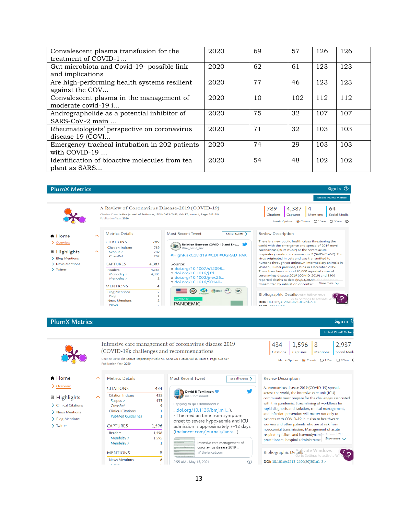| Convalescent plasma transfusion for the<br>treatment of COVID-1 | 2020 | 69 | 57  | 126 | 126 |
|-----------------------------------------------------------------|------|----|-----|-----|-----|
| Gut microbiota and Covid-19- possible link<br>and implications  | 2020 | 62 | 61  | 123 | 123 |
| Are high-performing health systems resilient<br>against the COV | 2020 | 77 | 46  | 123 | 123 |
| Convalescent plasma in the management of<br>moderate covid-19 i | 2020 | 10 | 102 | 112 | 112 |
| Andrographolide as a potential inhibitor of<br>SARS-CoV-2 main  | 2020 | 75 | 32  | 107 | 107 |
| Rheumatologists' perspective on coronavirus<br>disease 19 (COVI | 2020 | 71 | 32  | 103 | 103 |
| Emergency tracheal intubation in 202 patients<br>with COVID-19  | 2020 | 74 | 29  | 103 | 103 |
| Identification of bioactive molecules from tea<br>plant as SARS | 2020 | 54 | 48  | 102 | 102 |

Sign in  $\circledcirc$ 

#### **PlumX Metrics**



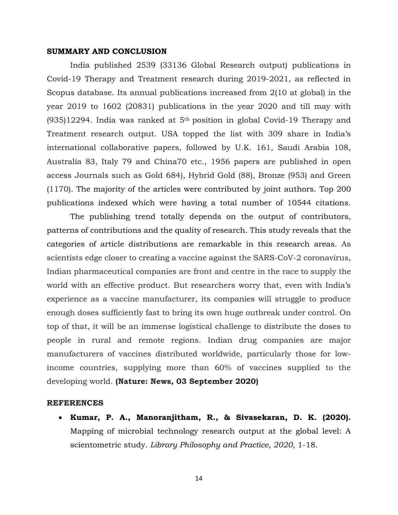#### **SUMMARY AND CONCLUSION**

India published 2539 (33136 Global Research output) publications in Covid-19 Therapy and Treatment research during 2019-2021, as reflected in Scopus database. Its annual publications increased from 2(10 at global) in the year 2019 to 1602 (20831) publications in the year 2020 and till may with  $(935)12294$ . India was ranked at 5<sup>th</sup> position in global Covid-19 Therapy and Treatment research output. USA topped the list with 309 share in India's international collaborative papers, followed by U.K. 161, Saudi Arabia 108, Australia 83, Italy 79 and China70 etc., 1956 papers are published in open access Journals such as Gold 684), Hybrid Gold (88), Bronze (953) and Green (1170). The majority of the articles were contributed by joint authors. Top 200 publications indexed which were having a total number of 10544 citations.

The publishing trend totally depends on the output of contributors, patterns of contributions and the quality of research. This study reveals that the categories of article distributions are remarkable in this research areas. As scientists edge closer to creating a vaccine against the SARS-CoV-2 coronavirus, Indian pharmaceutical companies are front and centre in the race to supply the world with an effective product. But researchers worry that, even with India's experience as a vaccine manufacturer, its companies will struggle to produce enough doses sufficiently fast to bring its own huge outbreak under control. On top of that, it will be an immense logistical challenge to distribute the doses to people in rural and remote regions. Indian drug companies are major manufacturers of vaccines distributed worldwide, particularly those for lowincome countries, supplying more than 60% of vaccines supplied to the developing world. **(Nature: News, 03 September 2020)**

#### **REFERENCES**

• **Kumar, P. A., Manoranjitham, R., & Sivasekaran, D. K. (2020).** Mapping of microbial technology research output at the global level: A scientometric study. *Library Philosophy and Practice, 2020*, 1-18.

14